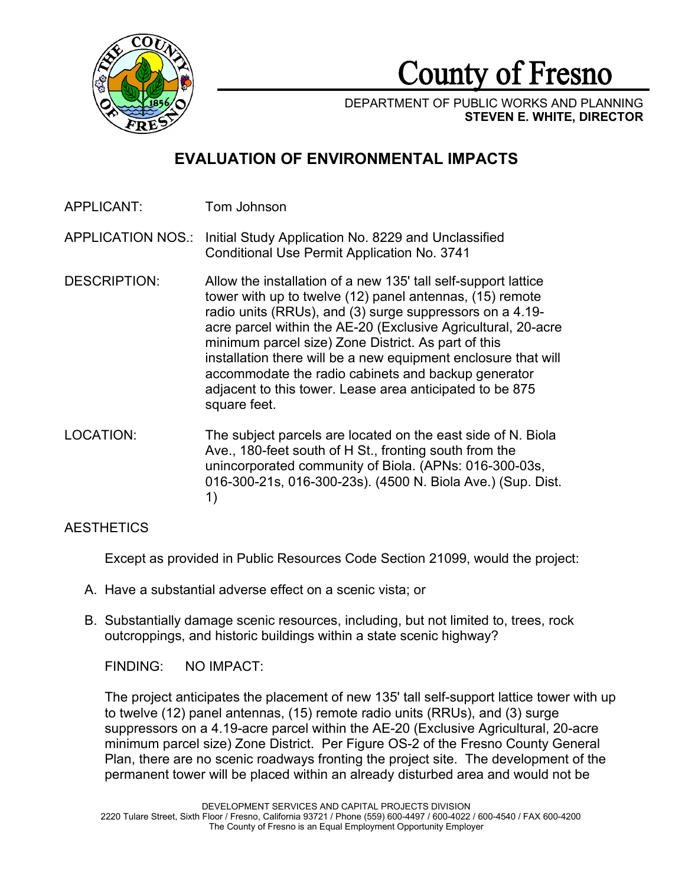

County of Fresno

DEPARTMENT OF PUBLIC WORKS AND PLANNING **STEVEN E. WHITE, DIRECTOR**

# **EVALUATION OF ENVIRONMENTAL IMPACTS**

APPLICANT: Tom Johnson

APPLICATION NOS.: Initial Study Application No. 8229 and Unclassified Conditional Use Permit Application No. 3741

- DESCRIPTION: Allow the installation of a new 135' tall self-support lattice tower with up to twelve (12) panel antennas, (15) remote radio units (RRUs), and (3) surge suppressors on a 4.19 acre parcel within the AE-20 (Exclusive Agricultural, 20-acre minimum parcel size) Zone District. As part of this installation there will be a new equipment enclosure that will accommodate the radio cabinets and backup generator adjacent to this tower. Lease area anticipated to be 875 square feet.
- LOCATION: The subject parcels are located on the east side of N. Biola Ave., 180-feet south of H St., fronting south from the unincorporated community of Biola. (APNs: 016-300-03s, 016-300-21s, 016-300-23s). (4500 N. Biola Ave.) (Sup. Dist. 1)

# **AESTHETICS**

Except as provided in Public Resources Code Section 21099, would the project:

- A. Have a substantial adverse effect on a scenic vista; or
- B. Substantially damage scenic resources, including, but not limited to, trees, rock outcroppings, and historic buildings within a state scenic highway?

FINDING: NO IMPACT:

The project anticipates the placement of new 135' tall self-support lattice tower with up to twelve (12) panel antennas, (15) remote radio units (RRUs), and (3) surge suppressors on a 4.19-acre parcel within the AE-20 (Exclusive Agricultural, 20-acre minimum parcel size) Zone District. Per Figure OS-2 of the Fresno County General Plan, there are no scenic roadways fronting the project site. The development of the permanent tower will be placed within an already disturbed area and would not be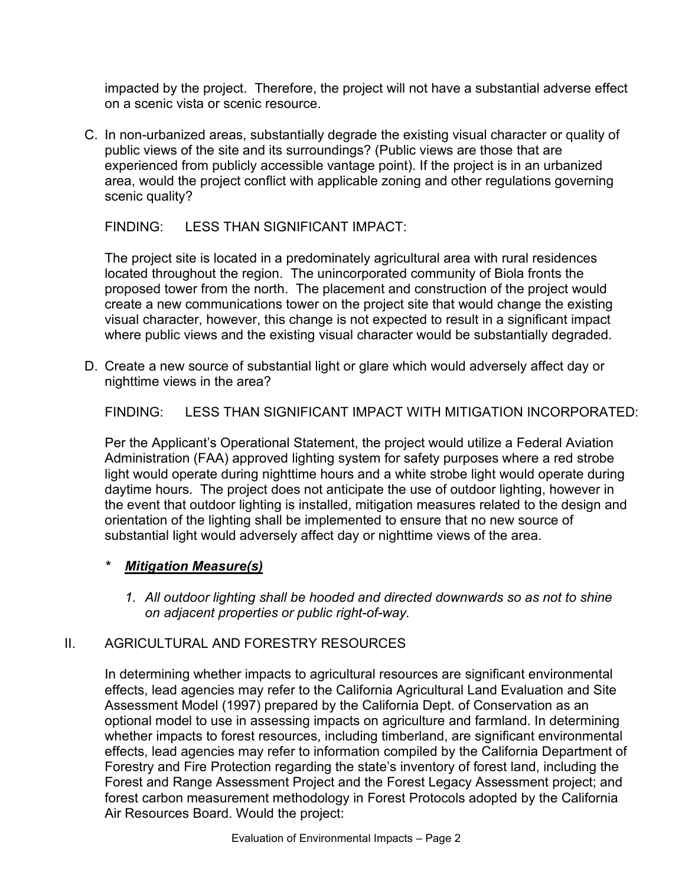impacted by the project. Therefore, the project will not have a substantial adverse effect on a scenic vista or scenic resource.

C. In non-urbanized areas, substantially degrade the existing visual character or quality of public views of the site and its surroundings? (Public views are those that are experienced from publicly accessible vantage point). If the project is in an urbanized area, would the project conflict with applicable zoning and other regulations governing scenic quality?

FINDING: LESS THAN SIGNIFICANT IMPACT:

The project site is located in a predominately agricultural area with rural residences located throughout the region. The unincorporated community of Biola fronts the proposed tower from the north. The placement and construction of the project would create a new communications tower on the project site that would change the existing visual character, however, this change is not expected to result in a significant impact where public views and the existing visual character would be substantially degraded.

D. Create a new source of substantial light or glare which would adversely affect day or nighttime views in the area?

FINDING: LESS THAN SIGNIFICANT IMPACT WITH MITIGATION INCORPORATED:

Per the Applicant's Operational Statement, the project would utilize a Federal Aviation Administration (FAA) approved lighting system for safety purposes where a red strobe light would operate during nighttime hours and a white strobe light would operate during daytime hours. The project does not anticipate the use of outdoor lighting, however in the event that outdoor lighting is installed, mitigation measures related to the design and orientation of the lighting shall be implemented to ensure that no new source of substantial light would adversely affect day or nighttime views of the area.

- *\* Mitigation Measure(s)*
	- *1. All outdoor lighting shall be hooded and directed downwards so as not to shine on adjacent properties or public right-of-way.*

# II. AGRICULTURAL AND FORESTRY RESOURCES

In determining whether impacts to agricultural resources are significant environmental effects, lead agencies may refer to the California Agricultural Land Evaluation and Site Assessment Model (1997) prepared by the California Dept. of Conservation as an optional model to use in assessing impacts on agriculture and farmland. In determining whether impacts to forest resources, including timberland, are significant environmental effects, lead agencies may refer to information compiled by the California Department of Forestry and Fire Protection regarding the state's inventory of forest land, including the Forest and Range Assessment Project and the Forest Legacy Assessment project; and forest carbon measurement methodology in Forest Protocols adopted by the California Air Resources Board. Would the project: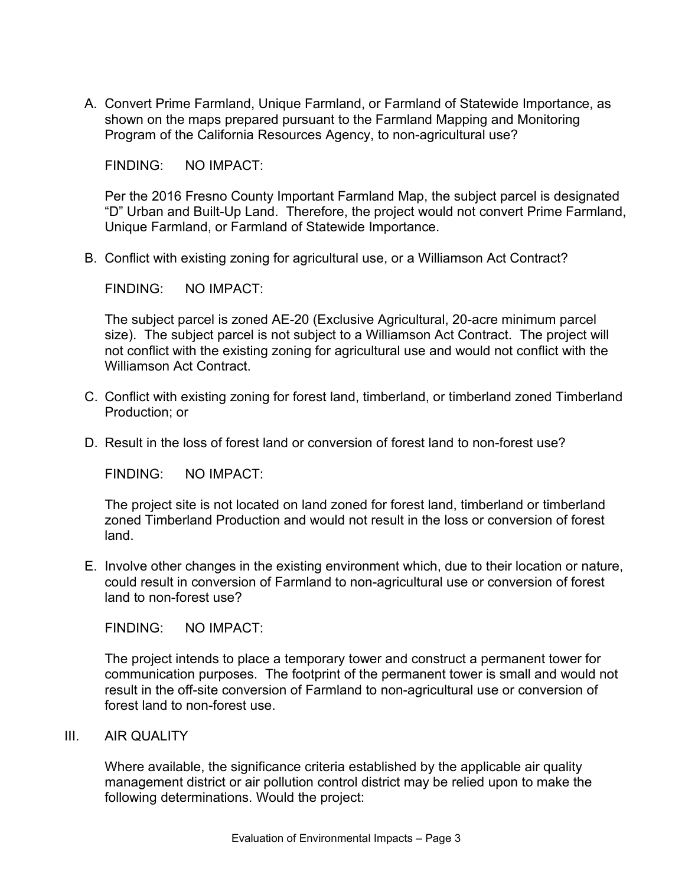A. Convert Prime Farmland, Unique Farmland, or Farmland of Statewide Importance, as shown on the maps prepared pursuant to the Farmland Mapping and Monitoring Program of the California Resources Agency, to non-agricultural use?

FINDING: NO IMPACT:

Per the 2016 Fresno County Important Farmland Map, the subject parcel is designated "D" Urban and Built-Up Land. Therefore, the project would not convert Prime Farmland, Unique Farmland, or Farmland of Statewide Importance.

B. Conflict with existing zoning for agricultural use, or a Williamson Act Contract?

FINDING: NO IMPACT:

The subject parcel is zoned AE-20 (Exclusive Agricultural, 20-acre minimum parcel size). The subject parcel is not subject to a Williamson Act Contract. The project will not conflict with the existing zoning for agricultural use and would not conflict with the Williamson Act Contract.

- C. Conflict with existing zoning for forest land, timberland, or timberland zoned Timberland Production; or
- D. Result in the loss of forest land or conversion of forest land to non-forest use?

FINDING: NO IMPACT:

The project site is not located on land zoned for forest land, timberland or timberland zoned Timberland Production and would not result in the loss or conversion of forest land.

E. Involve other changes in the existing environment which, due to their location or nature, could result in conversion of Farmland to non-agricultural use or conversion of forest land to non-forest use?

FINDING: NO IMPACT:

The project intends to place a temporary tower and construct a permanent tower for communication purposes. The footprint of the permanent tower is small and would not result in the off-site conversion of Farmland to non-agricultural use or conversion of forest land to non-forest use.

III. AIR QUALITY

Where available, the significance criteria established by the applicable air quality management district or air pollution control district may be relied upon to make the following determinations. Would the project: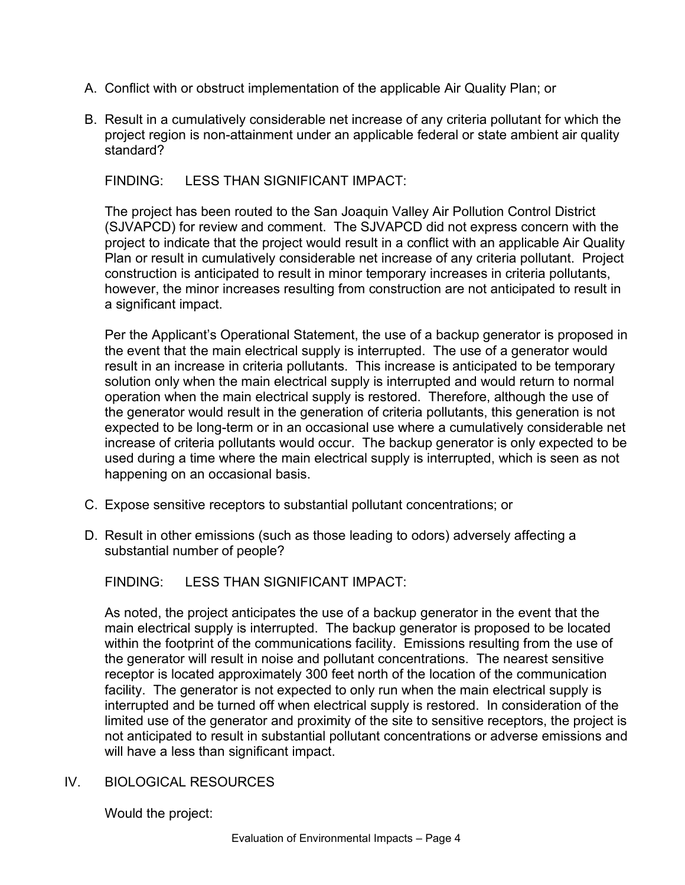- A. Conflict with or obstruct implementation of the applicable Air Quality Plan; or
- B. Result in a cumulatively considerable net increase of any criteria pollutant for which the project region is non-attainment under an applicable federal or state ambient air quality standard?

FINDING: LESS THAN SIGNIFICANT IMPACT:

The project has been routed to the San Joaquin Valley Air Pollution Control District (SJVAPCD) for review and comment. The SJVAPCD did not express concern with the project to indicate that the project would result in a conflict with an applicable Air Quality Plan or result in cumulatively considerable net increase of any criteria pollutant. Project construction is anticipated to result in minor temporary increases in criteria pollutants, however, the minor increases resulting from construction are not anticipated to result in a significant impact.

Per the Applicant's Operational Statement, the use of a backup generator is proposed in the event that the main electrical supply is interrupted. The use of a generator would result in an increase in criteria pollutants. This increase is anticipated to be temporary solution only when the main electrical supply is interrupted and would return to normal operation when the main electrical supply is restored. Therefore, although the use of the generator would result in the generation of criteria pollutants, this generation is not expected to be long-term or in an occasional use where a cumulatively considerable net increase of criteria pollutants would occur. The backup generator is only expected to be used during a time where the main electrical supply is interrupted, which is seen as not happening on an occasional basis.

- C. Expose sensitive receptors to substantial pollutant concentrations; or
- D. Result in other emissions (such as those leading to odors) adversely affecting a substantial number of people?

FINDING: LESS THAN SIGNIFICANT IMPACT:

As noted, the project anticipates the use of a backup generator in the event that the main electrical supply is interrupted. The backup generator is proposed to be located within the footprint of the communications facility. Emissions resulting from the use of the generator will result in noise and pollutant concentrations. The nearest sensitive receptor is located approximately 300 feet north of the location of the communication facility. The generator is not expected to only run when the main electrical supply is interrupted and be turned off when electrical supply is restored. In consideration of the limited use of the generator and proximity of the site to sensitive receptors, the project is not anticipated to result in substantial pollutant concentrations or adverse emissions and will have a less than significant impact.

# IV. BIOLOGICAL RESOURCES

Would the project: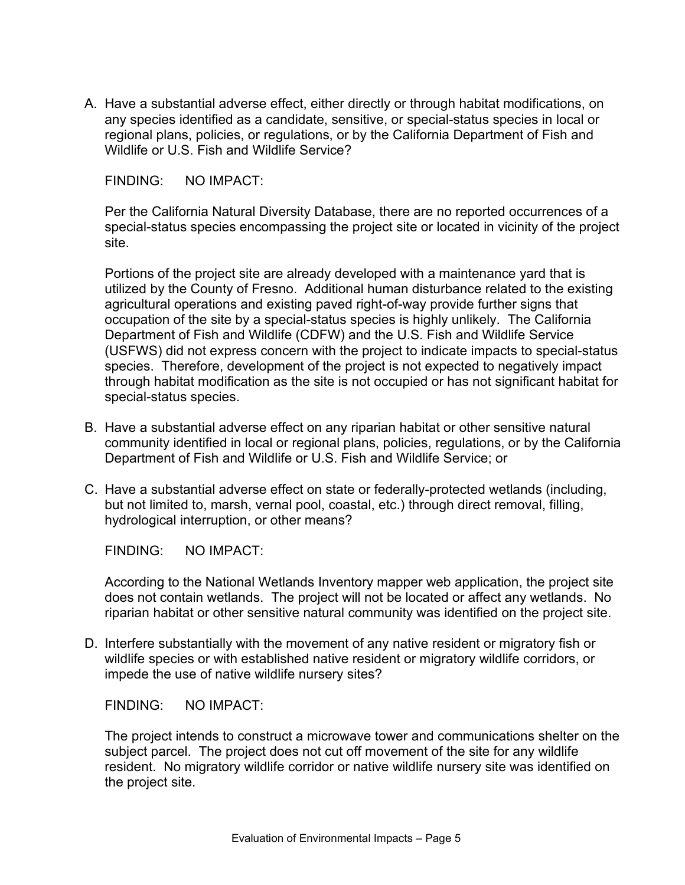A. Have a substantial adverse effect, either directly or through habitat modifications, on any species identified as a candidate, sensitive, or special-status species in local or regional plans, policies, or regulations, or by the California Department of Fish and Wildlife or U.S. Fish and Wildlife Service?

FINDING: NO IMPACT:

Per the California Natural Diversity Database, there are no reported occurrences of a special-status species encompassing the project site or located in vicinity of the project site.

Portions of the project site are already developed with a maintenance yard that is utilized by the County of Fresno. Additional human disturbance related to the existing agricultural operations and existing paved right-of-way provide further signs that occupation of the site by a special-status species is highly unlikely. The California Department of Fish and Wildlife (CDFW) and the U.S. Fish and Wildlife Service (USFWS) did not express concern with the project to indicate impacts to special-status species. Therefore, development of the project is not expected to negatively impact through habitat modification as the site is not occupied or has not significant habitat for special-status species.

- B. Have a substantial adverse effect on any riparian habitat or other sensitive natural community identified in local or regional plans, policies, regulations, or by the California Department of Fish and Wildlife or U.S. Fish and Wildlife Service; or
- C. Have a substantial adverse effect on state or federally-protected wetlands (including, but not limited to, marsh, vernal pool, coastal, etc.) through direct removal, filling, hydrological interruption, or other means?

FINDING: NO IMPACT:

According to the National Wetlands Inventory mapper web application, the project site does not contain wetlands. The project will not be located or affect any wetlands. No riparian habitat or other sensitive natural community was identified on the project site.

D. Interfere substantially with the movement of any native resident or migratory fish or wildlife species or with established native resident or migratory wildlife corridors, or impede the use of native wildlife nursery sites?

FINDING: NO IMPACT:

The project intends to construct a microwave tower and communications shelter on the subject parcel. The project does not cut off movement of the site for any wildlife resident. No migratory wildlife corridor or native wildlife nursery site was identified on the project site.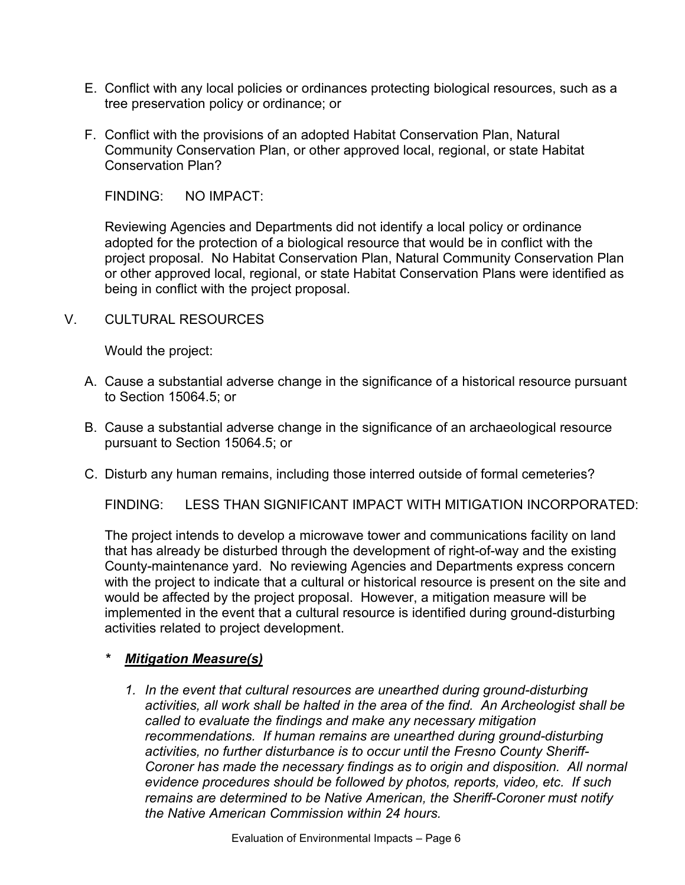- E. Conflict with any local policies or ordinances protecting biological resources, such as a tree preservation policy or ordinance; or
- F. Conflict with the provisions of an adopted Habitat Conservation Plan, Natural Community Conservation Plan, or other approved local, regional, or state Habitat Conservation Plan?

Reviewing Agencies and Departments did not identify a local policy or ordinance adopted for the protection of a biological resource that would be in conflict with the project proposal. No Habitat Conservation Plan, Natural Community Conservation Plan or other approved local, regional, or state Habitat Conservation Plans were identified as being in conflict with the project proposal.

V. CULTURAL RESOURCES

Would the project:

- A. Cause a substantial adverse change in the significance of a historical resource pursuant to Section 15064.5; or
- B. Cause a substantial adverse change in the significance of an archaeological resource pursuant to Section 15064.5; or
- C. Disturb any human remains, including those interred outside of formal cemeteries?

FINDING: LESS THAN SIGNIFICANT IMPACT WITH MITIGATION INCORPORATED:

The project intends to develop a microwave tower and communications facility on land that has already be disturbed through the development of right-of-way and the existing County-maintenance yard. No reviewing Agencies and Departments express concern with the project to indicate that a cultural or historical resource is present on the site and would be affected by the project proposal. However, a mitigation measure will be implemented in the event that a cultural resource is identified during ground-disturbing activities related to project development.

### *\* Mitigation Measure(s)*

*1. In the event that cultural resources are unearthed during ground-disturbing activities, all work shall be halted in the area of the find. An Archeologist shall be called to evaluate the findings and make any necessary mitigation recommendations. If human remains are unearthed during ground-disturbing activities, no further disturbance is to occur until the Fresno County Sheriff-Coroner has made the necessary findings as to origin and disposition. All normal evidence procedures should be followed by photos, reports, video, etc. If such remains are determined to be Native American, the Sheriff-Coroner must notify the Native American Commission within 24 hours.*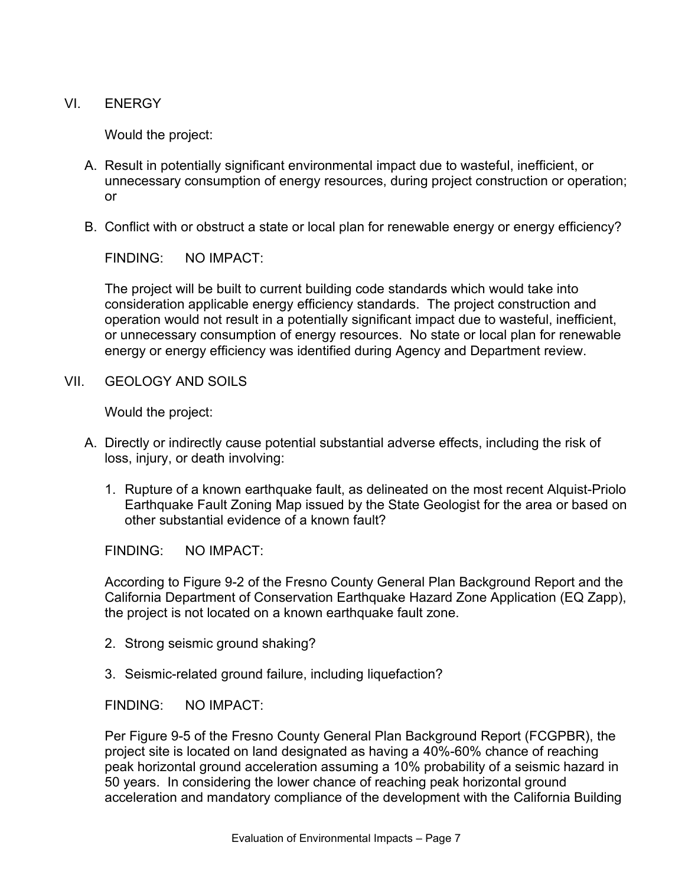VI. ENERGY

Would the project:

- A. Result in potentially significant environmental impact due to wasteful, inefficient, or unnecessary consumption of energy resources, during project construction or operation; or
- B. Conflict with or obstruct a state or local plan for renewable energy or energy efficiency?

FINDING: NO IMPACT:

The project will be built to current building code standards which would take into consideration applicable energy efficiency standards. The project construction and operation would not result in a potentially significant impact due to wasteful, inefficient, or unnecessary consumption of energy resources. No state or local plan for renewable energy or energy efficiency was identified during Agency and Department review.

VII. GEOLOGY AND SOILS

Would the project:

- A. Directly or indirectly cause potential substantial adverse effects, including the risk of loss, injury, or death involving:
	- 1. Rupture of a known earthquake fault, as delineated on the most recent Alquist-Priolo Earthquake Fault Zoning Map issued by the State Geologist for the area or based on other substantial evidence of a known fault?

FINDING: NO IMPACT:

According to Figure 9-2 of the Fresno County General Plan Background Report and the California Department of Conservation Earthquake Hazard Zone Application (EQ Zapp), the project is not located on a known earthquake fault zone.

- 2. Strong seismic ground shaking?
- 3. Seismic-related ground failure, including liquefaction?

FINDING: NO IMPACT:

Per Figure 9-5 of the Fresno County General Plan Background Report (FCGPBR), the project site is located on land designated as having a 40%-60% chance of reaching peak horizontal ground acceleration assuming a 10% probability of a seismic hazard in 50 years. In considering the lower chance of reaching peak horizontal ground acceleration and mandatory compliance of the development with the California Building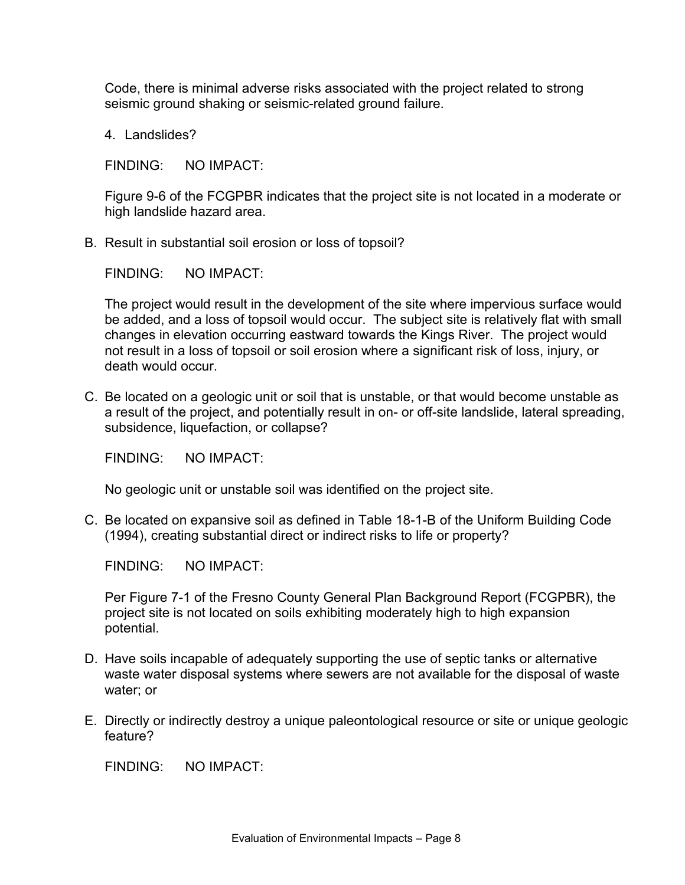Code, there is minimal adverse risks associated with the project related to strong seismic ground shaking or seismic-related ground failure.

4. Landslides?

FINDING: NO IMPACT:

Figure 9-6 of the FCGPBR indicates that the project site is not located in a moderate or high landslide hazard area.

B. Result in substantial soil erosion or loss of topsoil?

FINDING: NO IMPACT:

The project would result in the development of the site where impervious surface would be added, and a loss of topsoil would occur. The subject site is relatively flat with small changes in elevation occurring eastward towards the Kings River. The project would not result in a loss of topsoil or soil erosion where a significant risk of loss, injury, or death would occur.

C. Be located on a geologic unit or soil that is unstable, or that would become unstable as a result of the project, and potentially result in on- or off-site landslide, lateral spreading, subsidence, liquefaction, or collapse?

FINDING: NO IMPACT:

No geologic unit or unstable soil was identified on the project site.

C. Be located on expansive soil as defined in Table 18-1-B of the Uniform Building Code (1994), creating substantial direct or indirect risks to life or property?

FINDING: NO IMPACT:

Per Figure 7-1 of the Fresno County General Plan Background Report (FCGPBR), the project site is not located on soils exhibiting moderately high to high expansion potential.

- D. Have soils incapable of adequately supporting the use of septic tanks or alternative waste water disposal systems where sewers are not available for the disposal of waste water; or
- E. Directly or indirectly destroy a unique paleontological resource or site or unique geologic feature?

FINDING: NO IMPACT: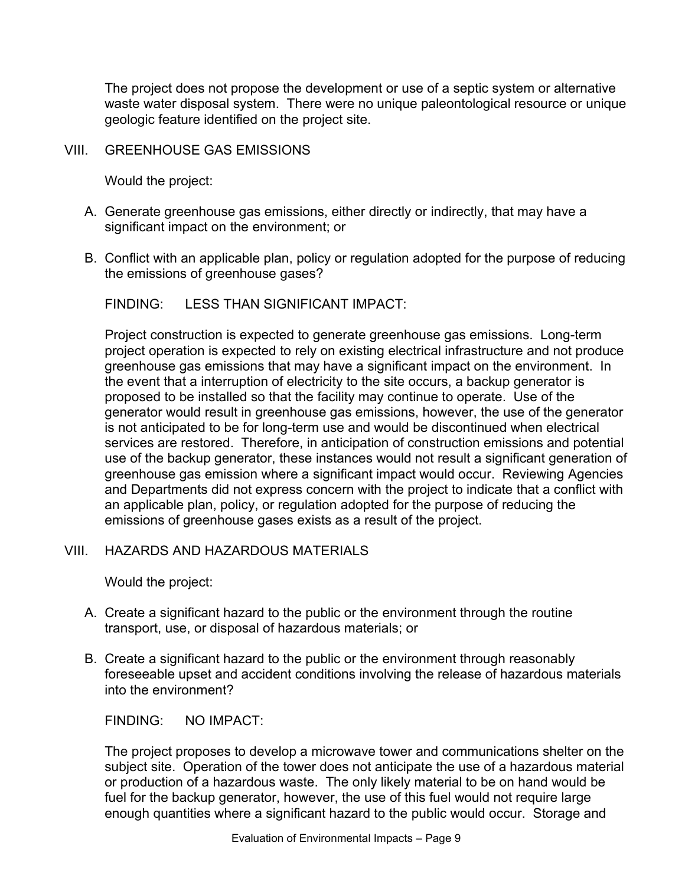The project does not propose the development or use of a septic system or alternative waste water disposal system. There were no unique paleontological resource or unique geologic feature identified on the project site.

### VIII. GREENHOUSE GAS EMISSIONS

Would the project:

- A. Generate greenhouse gas emissions, either directly or indirectly, that may have a significant impact on the environment; or
- B. Conflict with an applicable plan, policy or regulation adopted for the purpose of reducing the emissions of greenhouse gases?

FINDING: LESS THAN SIGNIFICANT IMPACT:

Project construction is expected to generate greenhouse gas emissions. Long-term project operation is expected to rely on existing electrical infrastructure and not produce greenhouse gas emissions that may have a significant impact on the environment. In the event that a interruption of electricity to the site occurs, a backup generator is proposed to be installed so that the facility may continue to operate. Use of the generator would result in greenhouse gas emissions, however, the use of the generator is not anticipated to be for long-term use and would be discontinued when electrical services are restored. Therefore, in anticipation of construction emissions and potential use of the backup generator, these instances would not result a significant generation of greenhouse gas emission where a significant impact would occur. Reviewing Agencies and Departments did not express concern with the project to indicate that a conflict with an applicable plan, policy, or regulation adopted for the purpose of reducing the emissions of greenhouse gases exists as a result of the project.

### VIII. HAZARDS AND HAZARDOUS MATERIALS

Would the project:

- A. Create a significant hazard to the public or the environment through the routine transport, use, or disposal of hazardous materials; or
- B. Create a significant hazard to the public or the environment through reasonably foreseeable upset and accident conditions involving the release of hazardous materials into the environment?

FINDING: NO IMPACT:

The project proposes to develop a microwave tower and communications shelter on the subject site. Operation of the tower does not anticipate the use of a hazardous material or production of a hazardous waste. The only likely material to be on hand would be fuel for the backup generator, however, the use of this fuel would not require large enough quantities where a significant hazard to the public would occur. Storage and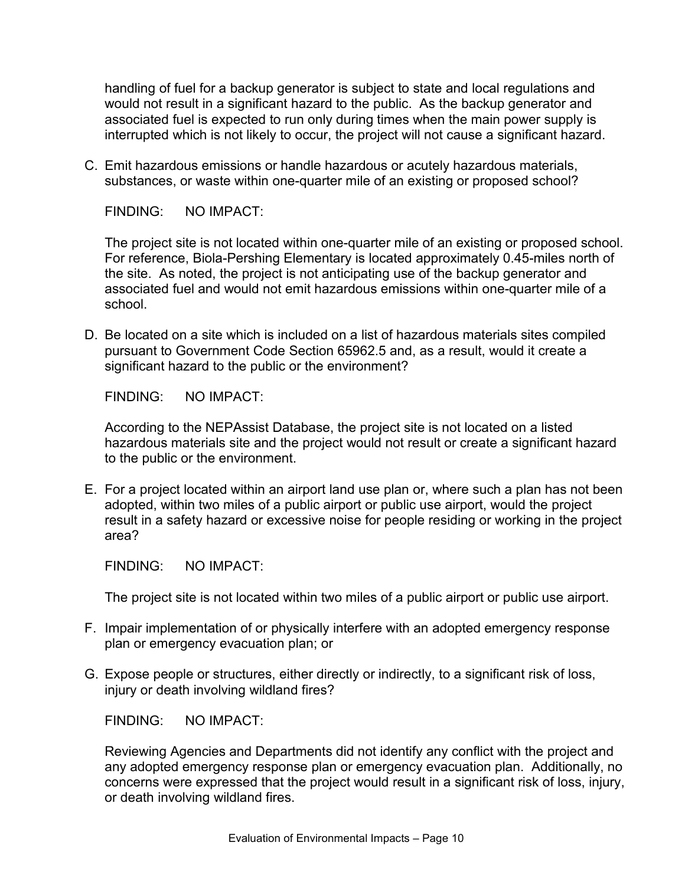handling of fuel for a backup generator is subject to state and local regulations and would not result in a significant hazard to the public. As the backup generator and associated fuel is expected to run only during times when the main power supply is interrupted which is not likely to occur, the project will not cause a significant hazard.

C. Emit hazardous emissions or handle hazardous or acutely hazardous materials, substances, or waste within one-quarter mile of an existing or proposed school?

FINDING: NO IMPACT:

The project site is not located within one-quarter mile of an existing or proposed school. For reference, Biola-Pershing Elementary is located approximately 0.45-miles north of the site. As noted, the project is not anticipating use of the backup generator and associated fuel and would not emit hazardous emissions within one-quarter mile of a school.

D. Be located on a site which is included on a list of hazardous materials sites compiled pursuant to Government Code Section 65962.5 and, as a result, would it create a significant hazard to the public or the environment?

FINDING: NO IMPACT:

According to the NEPAssist Database, the project site is not located on a listed hazardous materials site and the project would not result or create a significant hazard to the public or the environment.

E. For a project located within an airport land use plan or, where such a plan has not been adopted, within two miles of a public airport or public use airport, would the project result in a safety hazard or excessive noise for people residing or working in the project area?

FINDING: NO IMPACT:

The project site is not located within two miles of a public airport or public use airport.

- F. Impair implementation of or physically interfere with an adopted emergency response plan or emergency evacuation plan; or
- G. Expose people or structures, either directly or indirectly, to a significant risk of loss, injury or death involving wildland fires?

FINDING: NO IMPACT:

Reviewing Agencies and Departments did not identify any conflict with the project and any adopted emergency response plan or emergency evacuation plan. Additionally, no concerns were expressed that the project would result in a significant risk of loss, injury, or death involving wildland fires.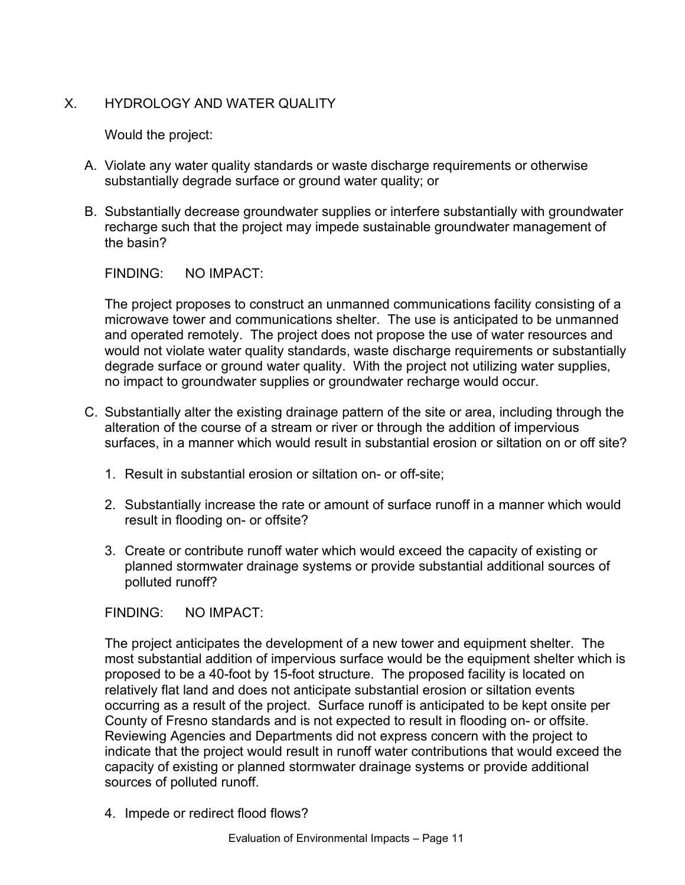# X HYDROLOGY AND WATER OUALITY

Would the project:

- A. Violate any water quality standards or waste discharge requirements or otherwise substantially degrade surface or ground water quality; or
- B. Substantially decrease groundwater supplies or interfere substantially with groundwater recharge such that the project may impede sustainable groundwater management of the basin?

FINDING: NO IMPACT:

The project proposes to construct an unmanned communications facility consisting of a microwave tower and communications shelter. The use is anticipated to be unmanned and operated remotely. The project does not propose the use of water resources and would not violate water quality standards, waste discharge requirements or substantially degrade surface or ground water quality. With the project not utilizing water supplies, no impact to groundwater supplies or groundwater recharge would occur.

- C. Substantially alter the existing drainage pattern of the site or area, including through the alteration of the course of a stream or river or through the addition of impervious surfaces, in a manner which would result in substantial erosion or siltation on or off site?
	- 1. Result in substantial erosion or siltation on- or off-site;
	- 2. Substantially increase the rate or amount of surface runoff in a manner which would result in flooding on- or offsite?
	- 3. Create or contribute runoff water which would exceed the capacity of existing or planned stormwater drainage systems or provide substantial additional sources of polluted runoff?

FINDING: NO IMPACT:

The project anticipates the development of a new tower and equipment shelter. The most substantial addition of impervious surface would be the equipment shelter which is proposed to be a 40-foot by 15-foot structure. The proposed facility is located on relatively flat land and does not anticipate substantial erosion or siltation events occurring as a result of the project. Surface runoff is anticipated to be kept onsite per County of Fresno standards and is not expected to result in flooding on- or offsite. Reviewing Agencies and Departments did not express concern with the project to indicate that the project would result in runoff water contributions that would exceed the capacity of existing or planned stormwater drainage systems or provide additional sources of polluted runoff.

4. Impede or redirect flood flows?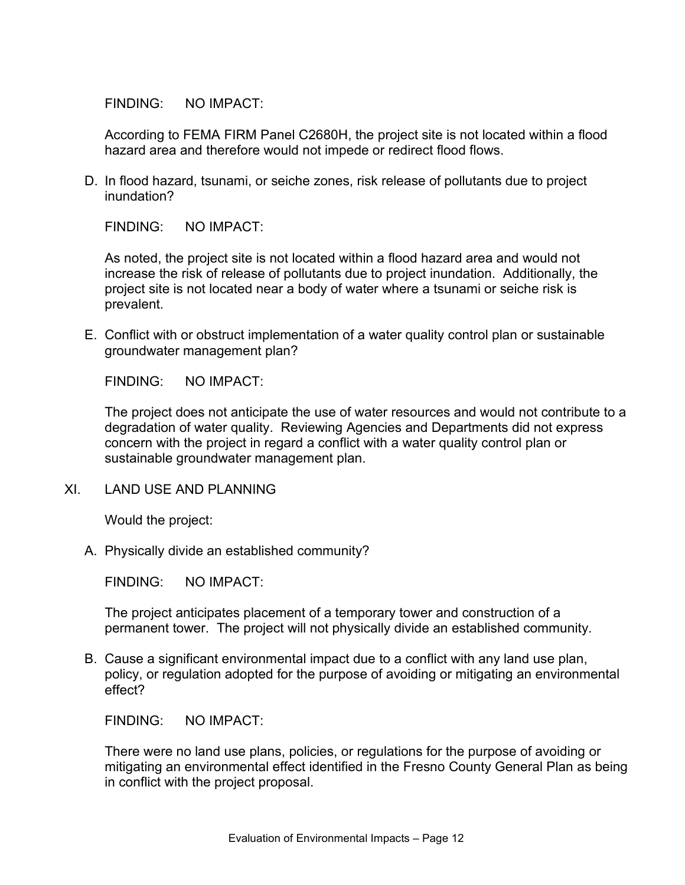According to FEMA FIRM Panel C2680H, the project site is not located within a flood hazard area and therefore would not impede or redirect flood flows.

D. In flood hazard, tsunami, or seiche zones, risk release of pollutants due to project inundation?

FINDING: NO IMPACT:

As noted, the project site is not located within a flood hazard area and would not increase the risk of release of pollutants due to project inundation. Additionally, the project site is not located near a body of water where a tsunami or seiche risk is prevalent.

E. Conflict with or obstruct implementation of a water quality control plan or sustainable groundwater management plan?

FINDING: NO IMPACT:

The project does not anticipate the use of water resources and would not contribute to a degradation of water quality. Reviewing Agencies and Departments did not express concern with the project in regard a conflict with a water quality control plan or sustainable groundwater management plan.

XI. LAND USE AND PLANNING

Would the project:

A. Physically divide an established community?

FINDING: NO IMPACT:

The project anticipates placement of a temporary tower and construction of a permanent tower. The project will not physically divide an established community.

B. Cause a significant environmental impact due to a conflict with any land use plan, policy, or regulation adopted for the purpose of avoiding or mitigating an environmental effect?

FINDING: NO IMPACT:

There were no land use plans, policies, or regulations for the purpose of avoiding or mitigating an environmental effect identified in the Fresno County General Plan as being in conflict with the project proposal.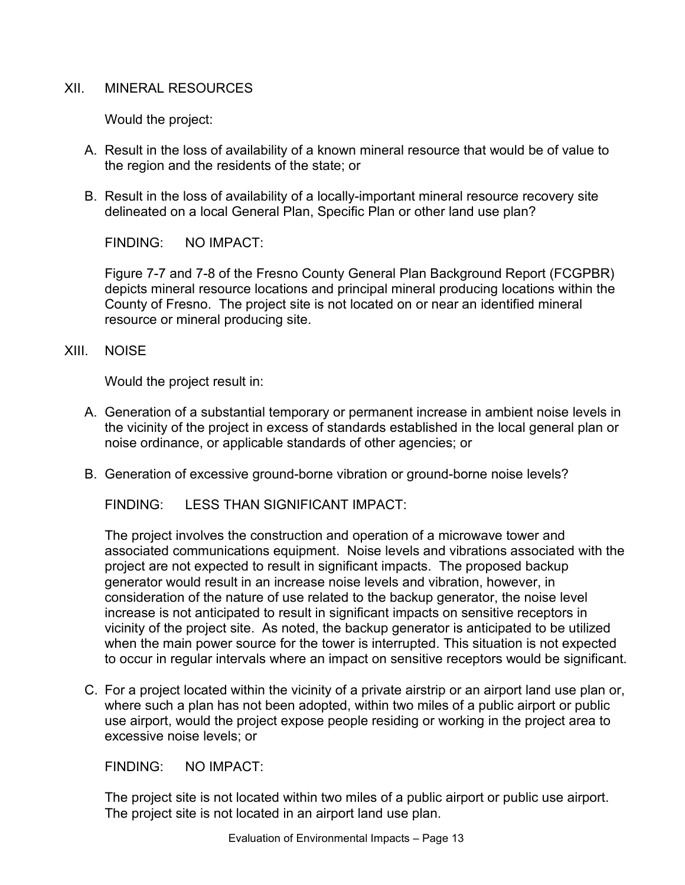## XII. MINERAL RESOURCES

Would the project:

- A. Result in the loss of availability of a known mineral resource that would be of value to the region and the residents of the state; or
- B. Result in the loss of availability of a locally-important mineral resource recovery site delineated on a local General Plan, Specific Plan or other land use plan?

FINDING: NO IMPACT:

Figure 7-7 and 7-8 of the Fresno County General Plan Background Report (FCGPBR) depicts mineral resource locations and principal mineral producing locations within the County of Fresno. The project site is not located on or near an identified mineral resource or mineral producing site.

XIII. NOISE

Would the project result in:

- A. Generation of a substantial temporary or permanent increase in ambient noise levels in the vicinity of the project in excess of standards established in the local general plan or noise ordinance, or applicable standards of other agencies; or
- B. Generation of excessive ground-borne vibration or ground-borne noise levels?

FINDING: LESS THAN SIGNIFICANT IMPACT:

The project involves the construction and operation of a microwave tower and associated communications equipment. Noise levels and vibrations associated with the project are not expected to result in significant impacts. The proposed backup generator would result in an increase noise levels and vibration, however, in consideration of the nature of use related to the backup generator, the noise level increase is not anticipated to result in significant impacts on sensitive receptors in vicinity of the project site. As noted, the backup generator is anticipated to be utilized when the main power source for the tower is interrupted. This situation is not expected to occur in regular intervals where an impact on sensitive receptors would be significant.

C. For a project located within the vicinity of a private airstrip or an airport land use plan or, where such a plan has not been adopted, within two miles of a public airport or public use airport, would the project expose people residing or working in the project area to excessive noise levels; or

FINDING: NO IMPACT:

The project site is not located within two miles of a public airport or public use airport. The project site is not located in an airport land use plan.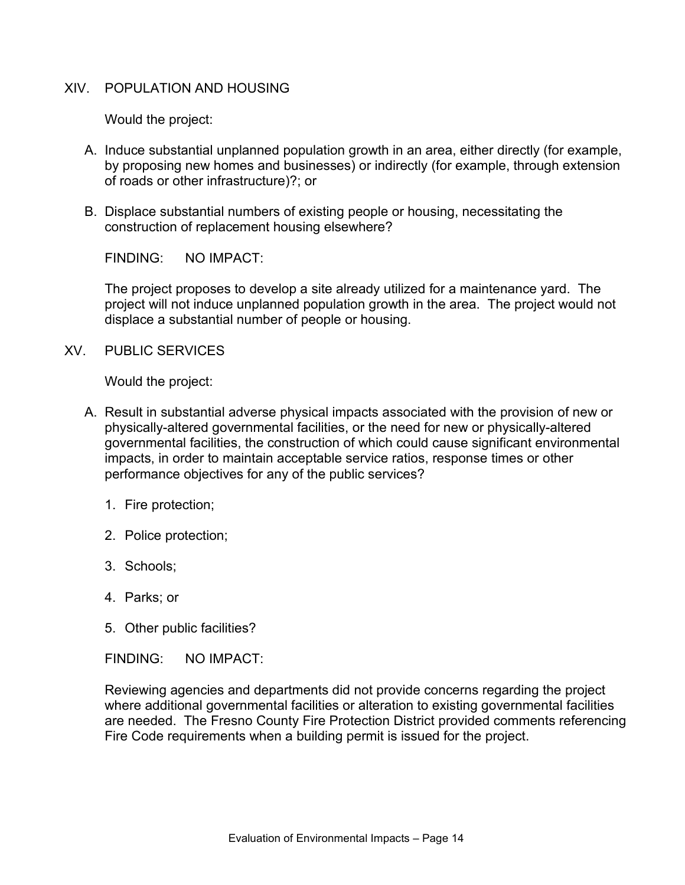#### XIV. POPULATION AND HOUSING

Would the project:

- A. Induce substantial unplanned population growth in an area, either directly (for example, by proposing new homes and businesses) or indirectly (for example, through extension of roads or other infrastructure)?; or
- B. Displace substantial numbers of existing people or housing, necessitating the construction of replacement housing elsewhere?

FINDING: NO IMPACT:

The project proposes to develop a site already utilized for a maintenance yard. The project will not induce unplanned population growth in the area. The project would not displace a substantial number of people or housing.

XV. PUBLIC SERVICES

Would the project:

- A. Result in substantial adverse physical impacts associated with the provision of new or physically-altered governmental facilities, or the need for new or physically-altered governmental facilities, the construction of which could cause significant environmental impacts, in order to maintain acceptable service ratios, response times or other performance objectives for any of the public services?
	- 1. Fire protection;
	- 2. Police protection;
	- 3. Schools;
	- 4. Parks; or
	- 5. Other public facilities?

FINDING: NO IMPACT:

Reviewing agencies and departments did not provide concerns regarding the project where additional governmental facilities or alteration to existing governmental facilities are needed. The Fresno County Fire Protection District provided comments referencing Fire Code requirements when a building permit is issued for the project.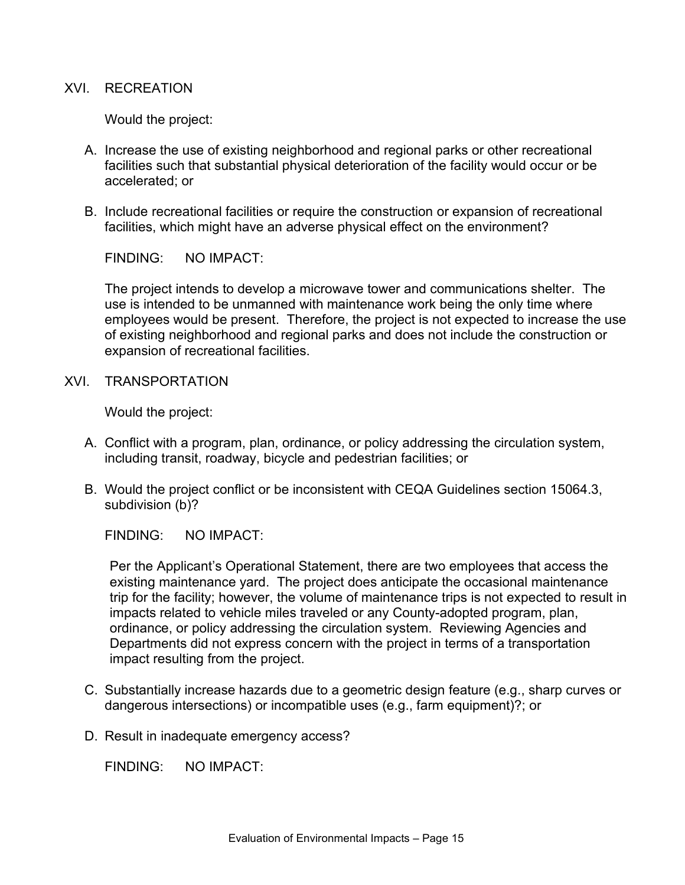#### XVI. RECREATION

Would the project:

- A. Increase the use of existing neighborhood and regional parks or other recreational facilities such that substantial physical deterioration of the facility would occur or be accelerated; or
- B. Include recreational facilities or require the construction or expansion of recreational facilities, which might have an adverse physical effect on the environment?

FINDING: NO IMPACT:

The project intends to develop a microwave tower and communications shelter. The use is intended to be unmanned with maintenance work being the only time where employees would be present. Therefore, the project is not expected to increase the use of existing neighborhood and regional parks and does not include the construction or expansion of recreational facilities.

XVI. TRANSPORTATION

Would the project:

- A. Conflict with a program, plan, ordinance, or policy addressing the circulation system, including transit, roadway, bicycle and pedestrian facilities; or
- B. Would the project conflict or be inconsistent with CEQA Guidelines section 15064.3, subdivision (b)?

FINDING: NO IMPACT:

Per the Applicant's Operational Statement, there are two employees that access the existing maintenance yard. The project does anticipate the occasional maintenance trip for the facility; however, the volume of maintenance trips is not expected to result in impacts related to vehicle miles traveled or any County-adopted program, plan, ordinance, or policy addressing the circulation system. Reviewing Agencies and Departments did not express concern with the project in terms of a transportation impact resulting from the project.

- C. Substantially increase hazards due to a geometric design feature (e.g., sharp curves or dangerous intersections) or incompatible uses (e.g., farm equipment)?; or
- D. Result in inadequate emergency access?

FINDING: NO IMPACT: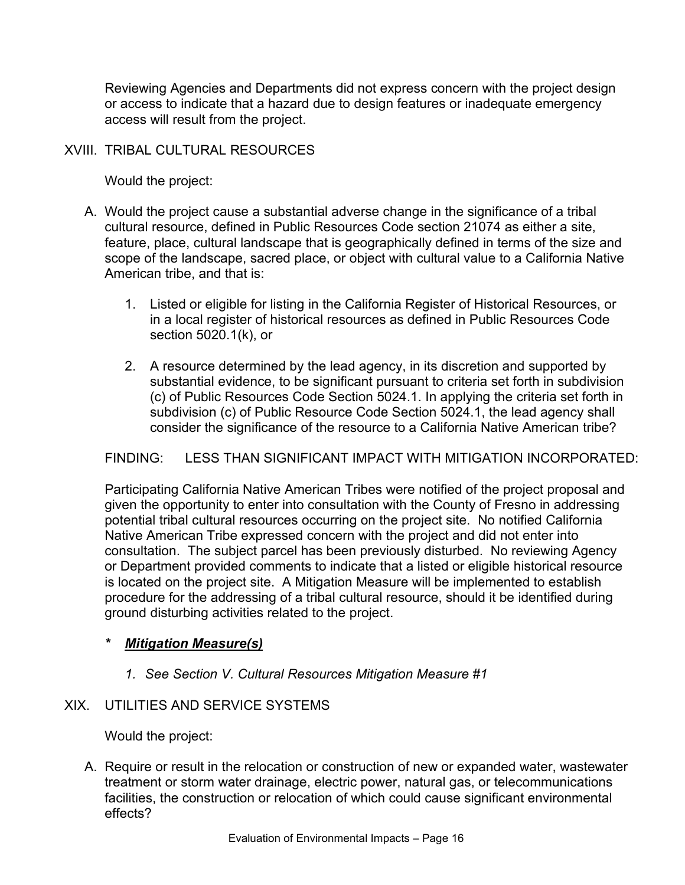Reviewing Agencies and Departments did not express concern with the project design or access to indicate that a hazard due to design features or inadequate emergency access will result from the project.

# XVIII. TRIBAL CULTURAL RESOURCES

Would the project:

- A. Would the project cause a substantial adverse change in the significance of a tribal cultural resource, defined in Public Resources Code section 21074 as either a site, feature, place, cultural landscape that is geographically defined in terms of the size and scope of the landscape, sacred place, or object with cultural value to a California Native American tribe, and that is:
	- 1. Listed or eligible for listing in the California Register of Historical Resources, or in a local register of historical resources as defined in Public Resources Code section 5020.1(k), or
	- 2. A resource determined by the lead agency, in its discretion and supported by substantial evidence, to be significant pursuant to criteria set forth in subdivision (c) of Public Resources Code Section 5024.1. In applying the criteria set forth in subdivision (c) of Public Resource Code Section 5024.1, the lead agency shall consider the significance of the resource to a California Native American tribe?

# FINDING: LESS THAN SIGNIFICANT IMPACT WITH MITIGATION INCORPORATED:

Participating California Native American Tribes were notified of the project proposal and given the opportunity to enter into consultation with the County of Fresno in addressing potential tribal cultural resources occurring on the project site. No notified California Native American Tribe expressed concern with the project and did not enter into consultation. The subject parcel has been previously disturbed. No reviewing Agency or Department provided comments to indicate that a listed or eligible historical resource is located on the project site. A Mitigation Measure will be implemented to establish procedure for the addressing of a tribal cultural resource, should it be identified during ground disturbing activities related to the project.

### *\* Mitigation Measure(s)*

### *1. See Section V. Cultural Resources Mitigation Measure #1*

# XIX. UTILITIES AND SERVICE SYSTEMS

Would the project:

A. Require or result in the relocation or construction of new or expanded water, wastewater treatment or storm water drainage, electric power, natural gas, or telecommunications facilities, the construction or relocation of which could cause significant environmental effects?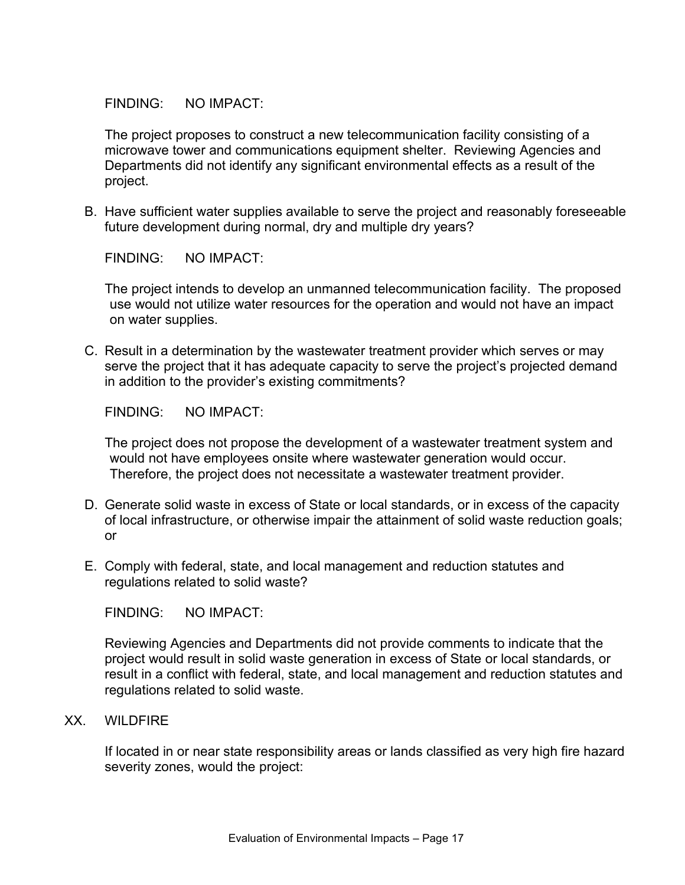The project proposes to construct a new telecommunication facility consisting of a microwave tower and communications equipment shelter. Reviewing Agencies and Departments did not identify any significant environmental effects as a result of the project.

B. Have sufficient water supplies available to serve the project and reasonably foreseeable future development during normal, dry and multiple dry years?

FINDING: NO IMPACT:

The project intends to develop an unmanned telecommunication facility. The proposed use would not utilize water resources for the operation and would not have an impact on water supplies.

C. Result in a determination by the wastewater treatment provider which serves or may serve the project that it has adequate capacity to serve the project's projected demand in addition to the provider's existing commitments?

FINDING: NO IMPACT:

The project does not propose the development of a wastewater treatment system and would not have employees onsite where wastewater generation would occur. Therefore, the project does not necessitate a wastewater treatment provider.

- D. Generate solid waste in excess of State or local standards, or in excess of the capacity of local infrastructure, or otherwise impair the attainment of solid waste reduction goals; or
- E. Comply with federal, state, and local management and reduction statutes and regulations related to solid waste?

FINDING: NO IMPACT:

Reviewing Agencies and Departments did not provide comments to indicate that the project would result in solid waste generation in excess of State or local standards, or result in a conflict with federal, state, and local management and reduction statutes and regulations related to solid waste.

XX. WILDFIRE

If located in or near state responsibility areas or lands classified as very high fire hazard severity zones, would the project: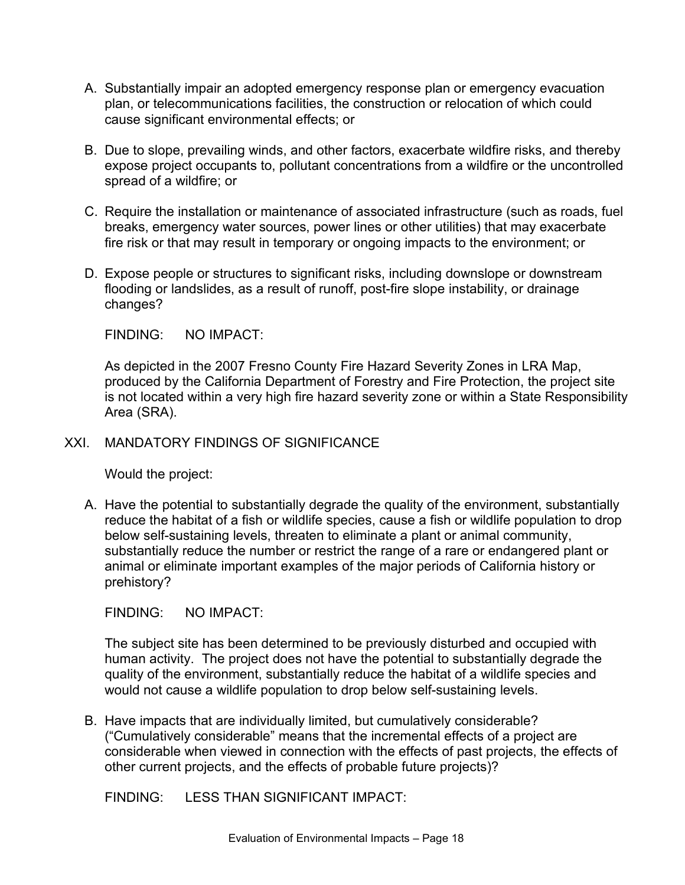- A. Substantially impair an adopted emergency response plan or emergency evacuation plan, or telecommunications facilities, the construction or relocation of which could cause significant environmental effects; or
- B. Due to slope, prevailing winds, and other factors, exacerbate wildfire risks, and thereby expose project occupants to, pollutant concentrations from a wildfire or the uncontrolled spread of a wildfire; or
- C. Require the installation or maintenance of associated infrastructure (such as roads, fuel breaks, emergency water sources, power lines or other utilities) that may exacerbate fire risk or that may result in temporary or ongoing impacts to the environment; or
- D. Expose people or structures to significant risks, including downslope or downstream flooding or landslides, as a result of runoff, post-fire slope instability, or drainage changes?

As depicted in the 2007 Fresno County Fire Hazard Severity Zones in LRA Map, produced by the California Department of Forestry and Fire Protection, the project site is not located within a very high fire hazard severity zone or within a State Responsibility Area (SRA).

### XXI. MANDATORY FINDINGS OF SIGNIFICANCE

Would the project:

A. Have the potential to substantially degrade the quality of the environment, substantially reduce the habitat of a fish or wildlife species, cause a fish or wildlife population to drop below self-sustaining levels, threaten to eliminate a plant or animal community, substantially reduce the number or restrict the range of a rare or endangered plant or animal or eliminate important examples of the major periods of California history or prehistory?

FINDING: NO IMPACT:

The subject site has been determined to be previously disturbed and occupied with human activity. The project does not have the potential to substantially degrade the quality of the environment, substantially reduce the habitat of a wildlife species and would not cause a wildlife population to drop below self-sustaining levels.

B. Have impacts that are individually limited, but cumulatively considerable? ("Cumulatively considerable" means that the incremental effects of a project are considerable when viewed in connection with the effects of past projects, the effects of other current projects, and the effects of probable future projects)?

FINDING: LESS THAN SIGNIFICANT IMPACT: